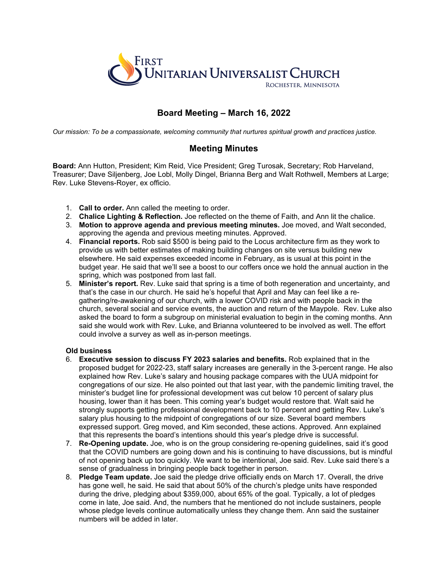

## **Board Meeting – March 16, 2022**

*Our mission: To be a compassionate, welcoming community that nurtures spiritual growth and practices justice.*

## **Meeting Minutes**

**Board:** Ann Hutton, President; Kim Reid, Vice President; Greg Turosak, Secretary; Rob Harveland, Treasurer; Dave Siljenberg, Joe Lobl, Molly Dingel, Brianna Berg and Walt Rothwell, Members at Large; Rev. Luke Stevens-Royer, ex officio.

- 1. **Call to order.** Ann called the meeting to order.
- 2. **Chalice Lighting & Reflection.** Joe reflected on the theme of Faith, and Ann lit the chalice.
- 3. **Motion to approve agenda and previous meeting minutes.** Joe moved, and Walt seconded, approving the agenda and previous meeting minutes. Approved.
- 4. **Financial reports.** Rob said \$500 is being paid to the Locus architecture firm as they work to provide us with better estimates of making building changes on site versus building new elsewhere. He said expenses exceeded income in February, as is usual at this point in the budget year. He said that we'll see a boost to our coffers once we hold the annual auction in the spring, which was postponed from last fall.
- 5. **Minister's report.** Rev. Luke said that spring is a time of both regeneration and uncertainty, and that's the case in our church. He said he's hopeful that April and May can feel like a regathering/re-awakening of our church, with a lower COVID risk and with people back in the church, several social and service events, the auction and return of the Maypole. Rev. Luke also asked the board to form a subgroup on ministerial evaluation to begin in the coming months. Ann said she would work with Rev. Luke, and Brianna volunteered to be involved as well. The effort could involve a survey as well as in-person meetings.

## **Old business**

- 6. **Executive session to discuss FY 2023 salaries and benefits.** Rob explained that in the proposed budget for 2022-23, staff salary increases are generally in the 3-percent range. He also explained how Rev. Luke's salary and housing package compares with the UUA midpoint for congregations of our size. He also pointed out that last year, with the pandemic limiting travel, the minister's budget line for professional development was cut below 10 percent of salary plus housing, lower than it has been. This coming year's budget would restore that. Walt said he strongly supports getting professional development back to 10 percent and getting Rev. Luke's salary plus housing to the midpoint of congregations of our size. Several board members expressed support. Greg moved, and Kim seconded, these actions. Approved. Ann explained that this represents the board's intentions should this year's pledge drive is successful.
- 7. **Re-Opening update.** Joe, who is on the group considering re-opening guidelines, said it's good that the COVID numbers are going down and his is continuing to have discussions, but is mindful of not opening back up too quickly. We want to be intentional, Joe said. Rev. Luke said there's a sense of gradualness in bringing people back together in person.
- 8. **Pledge Team update.** Joe said the pledge drive officially ends on March 17. Overall, the drive has gone well, he said. He said that about 50% of the church's pledge units have responded during the drive, pledging about \$359,000, about 65% of the goal. Typically, a lot of pledges come in late, Joe said. And, the numbers that he mentioned do not include sustainers, people whose pledge levels continue automatically unless they change them. Ann said the sustainer numbers will be added in later.